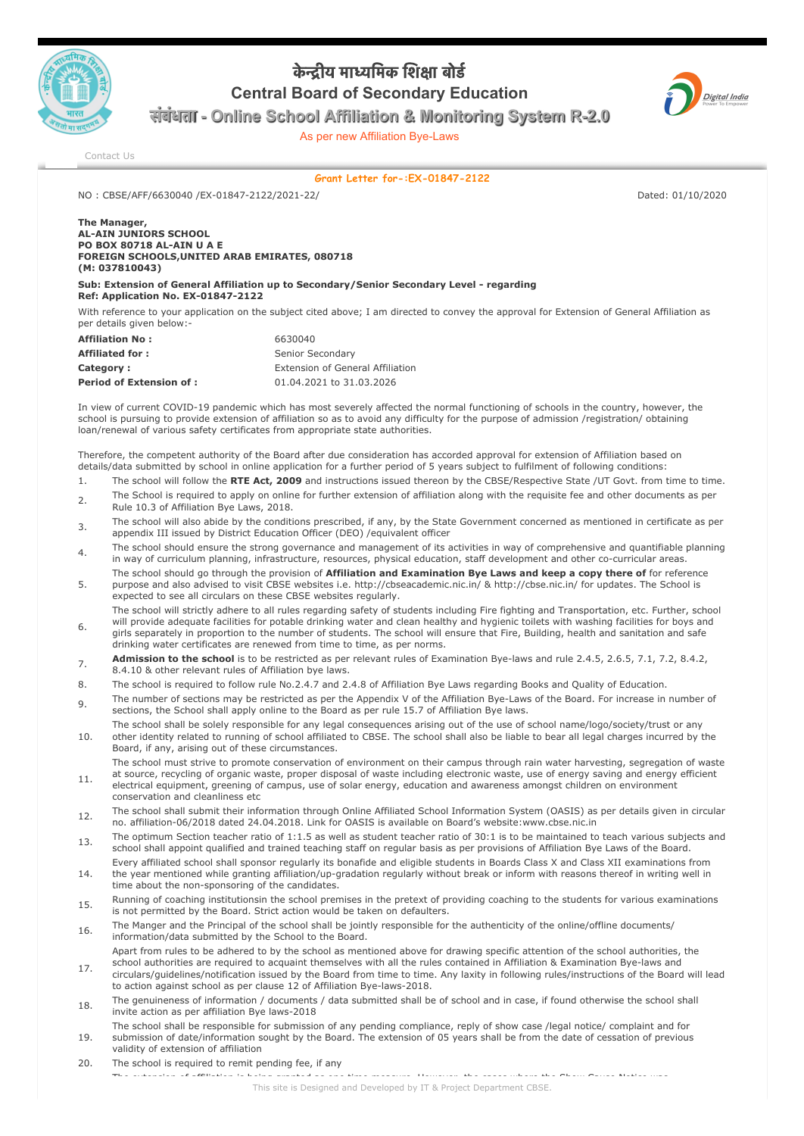

## केन्द्रीय माध्यमिक शिक्षा बोर्ड **Central Board of Secondary Education**



संबंधता **- Online School Affiliation & Monitoring System R-2.0**

As per new Affiliation Bye-Laws

[Contact Us](http://cbseaff.nic.in/cbse_aff/help.aspx)

## **Grant Letter for-:EX-01847-2122**

NO : CBSE/AFF/6630040 /EX-01847-2122/2021-22/ Dated: 01/10/2020

## **The Manager, AL-AIN JUNIORS SCHOOL PO BOX 80718 AL-AIN U A E FOREIGN SCHOOLS,UNITED ARAB EMIRATES, 080718 (M: 037810043)**

**Sub: Extension of General Affiliation up to Secondary/Senior Secondary Level - regarding Ref: Application No. EX-01847-2122**

With reference to your application on the subject cited above: I am directed to convey the approval for Extension of General Affiliation as per details given below:-

| <b>Affiliation No:</b>         | 6630040                                 |
|--------------------------------|-----------------------------------------|
| <b>Affiliated for:</b>         | Senior Secondary                        |
| Category:                      | <b>Extension of General Affiliation</b> |
| <b>Period of Extension of:</b> | 01.04.2021 to 31.03.2026                |

In view of current COVID-19 pandemic which has most severely affected the normal functioning of schools in the country, however, the school is pursuing to provide extension of affiliation so as to avoid any difficulty for the purpose of admission /registration/ obtaining loan/renewal of various safety certificates from appropriate state authorities.

Therefore, the competent authority of the Board after due consideration has accorded approval for extension of Affiliation based on details/data submitted by school in online application for a further period of 5 years subject to fulfilment of following conditions:

- 1. The school will follow the **RTE Act, 2009** and instructions issued thereon by the CBSE/Respective State /UT Govt. from time to time.
- 2. The School is required to apply on online for further extension of affiliation along with the requisite fee and other documents as per Rule 10.3 of Affiliation Bye Laws, 2018.
- 3. The school will also abide by the conditions prescribed, if any, by the State Government concerned as mentioned in certificate as per appendix III issued by District Education Officer (DEO) /equivalent officer
- The school should ensure the strong governance and management of its activities in way of comprehensive and quantifiable planning in way of curriculum planning, infrastructure, resources, physical education, staff development and other co-curricular areas.
- 5. The school should go through the provision of **Affiliation and Examination Bye Laws and keep a copy there of** for reference purpose and also advised to visit CBSE websites i.e. http://cbseacademic.nic.in/ & http://cbse.nic.in/ for updates. The School is expected to see all circulars on these CBSE websites regularly.
- 6. The school will strictly adhere to all rules regarding safety of students including Fire fighting and Transportation, etc. Further, school will provide adequate facilities for potable drinking water and clean healthy and hygienic toilets with washing facilities for boys and girls separately in proportion to the number of students. The school will ensure that Fire, Building, health and sanitation and safe drinking water certificates are renewed from time to time, as per norms.
- **Admission to the school** is to be restricted as per relevant rules of Examination Bye-laws and rule 2.4.5, 2.6.5, 7.1, 7.2, 8.4.2, 8.4.10 & other relevant rules of Affiliation bye laws.
- 8. The school is required to follow rule No.2.4.7 and 2.4.8 of Affiliation Bye Laws regarding Books and Quality of Education.
- 9. The number of sections may be restricted as per the Appendix V of the Affiliation Bye-Laws of the Board. For increase in number of sections, the School shall apply online to the Board as per rule 15.7 of Affiliation Bye laws.
- 10. The school shall be solely responsible for any legal consequences arising out of the use of school name/logo/society/trust or any other identity related to running of school affiliated to CBSE. The school shall also be liable to bear all legal charges incurred by the Board, if any, arising out of these circumstances.
	- The school must strive to promote conservation of environment on their campus through rain water harvesting, segregation of waste
- 11. at source, recycling of organic waste, proper disposal of waste including electronic waste, use of energy saving and energy efficient electrical equipment, greening of campus, use of solar energy, education and awareness amongst children on environment conservation and cleanliness etc
- 12. The school shall submit their information through Online Affiliated School Information System (OASIS) as per details given in circular no. affiliation-06/2018 dated 24.04.2018. Link for OASIS is available on Board's website:www.cbse.nic.in
- 13. The optimum Section teacher ratio of 1:1.5 as well as student teacher ratio of 30:1 is to be maintained to teach various subjects and school shall appoint qualified and trained teaching staff on regular basis as per provisions of Affiliation Bye Laws of the Board.
- 14. Every affiliated school shall sponsor regularly its bonafide and eligible students in Boards Class X and Class XII examinations from the year mentioned while granting affiliation/up-gradation regularly without break or inform with reasons thereof in writing well in time about the non-sponsoring of the candidates.
- 15. Running of coaching institutionsin the school premises in the pretext of providing coaching to the students for various examinations is not permitted by the Board. Strict action would be taken on defaulters.
- 16. The Manger and the Principal of the school shall be jointly responsible for the authenticity of the online/offline documents/ information/data submitted by the School to the Board.
- 17. Apart from rules to be adhered to by the school as mentioned above for drawing specific attention of the school authorities, the school authorities are required to acquaint themselves with all the rules contained in Affiliation & Examination Bye-laws and
- circulars/guidelines/notification issued by the Board from time to time. Any laxity in following rules/instructions of the Board will lead to action against school as per clause 12 of Affiliation Bye-laws-2018.
- 18. The genuineness of information / documents / data submitted shall be of school and in case, if found otherwise the school shall invite action as per affiliation Bye laws-2018
- 19. The school shall be responsible for submission of any pending compliance, reply of show case /legal notice/ complaint and for submission of date/information sought by the Board. The extension of 05 years shall be from the date of cessation of previous validity of extension of affiliation
- 20. The school is required to remit pending fee, if any